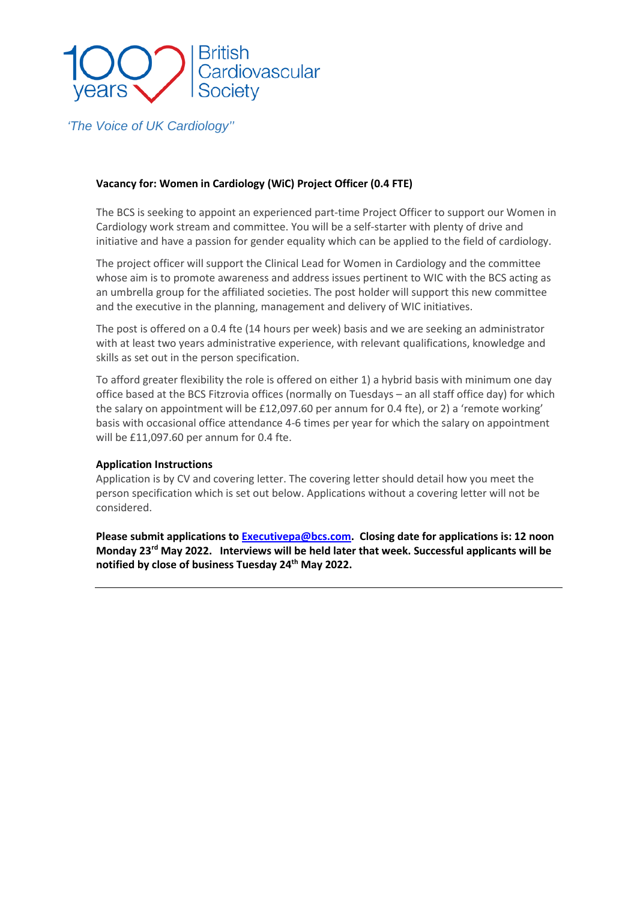

*'The Voice of UK Cardiology''*

### **Vacancy for: Women in Cardiology (WiC) Project Officer (0.4 FTE)**

The BCS is seeking to appoint an experienced part-time Project Officer to support our Women in Cardiology work stream and committee. You will be a self-starter with plenty of drive and initiative and have a passion for gender equality which can be applied to the field of cardiology.

The project officer will support the Clinical Lead for Women in Cardiology and the committee whose aim is to promote awareness and address issues pertinent to WIC with the BCS acting as an umbrella group for the affiliated societies. The post holder will support this new committee and the executive in the planning, management and delivery of WIC initiatives.

The post is offered on a 0.4 fte (14 hours per week) basis and we are seeking an administrator with at least two years administrative experience, with relevant qualifications, knowledge and skills as set out in the person specification.

To afford greater flexibility the role is offered on either 1) a hybrid basis with minimum one day office based at the BCS Fitzrovia offices (normally on Tuesdays – an all staff office day) for which the salary on appointment will be £12,097.60 per annum for 0.4 fte), or 2) a 'remote working' basis with occasional office attendance 4-6 times per year for which the salary on appointment will be £11,097.60 per annum for 0.4 fte.

#### **Application Instructions**

Application is by CV and covering letter. The covering letter should detail how you meet the person specification which is set out below. Applications without a covering letter will not be considered.

**Please submit applications to [Executivepa@bcs.com.](mailto:Executivepa@bcs.com) Closing date for applications is: 12 noon Monday 23rd May 2022. Interviews will be held later that week. Successful applicants will be notified by close of business Tuesday 24th May 2022.**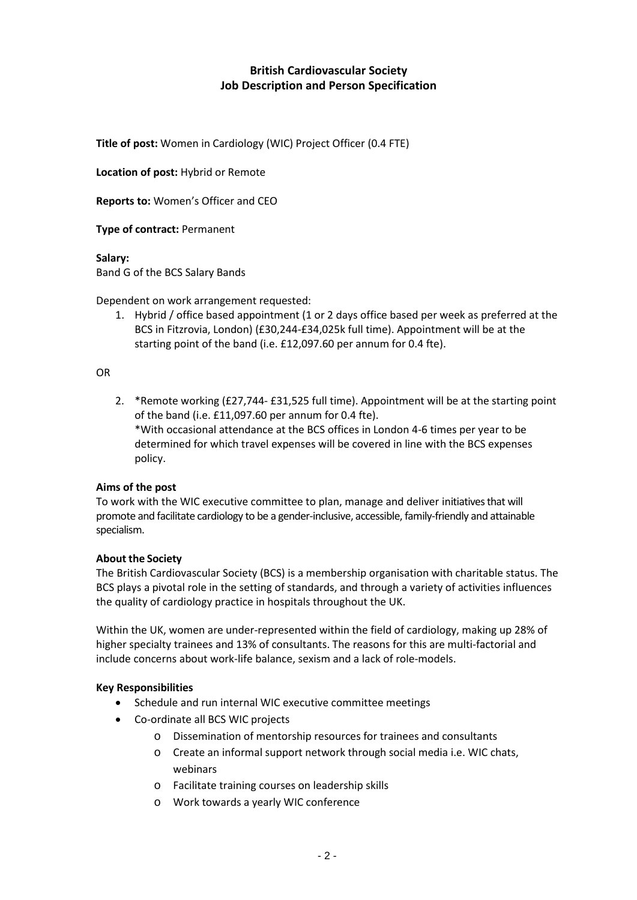## **British Cardiovascular Society Job Description and Person Specification**

**Title of post:** Women in Cardiology (WIC) Project Officer (0.4 FTE)

**Location of post:** Hybrid or Remote

**Reports to:** Women's Officer and CEO

**Type of contract:** Permanent

**Salary:** 

Band G of the BCS Salary Bands

Dependent on work arrangement requested:

1. Hybrid / office based appointment (1 or 2 days office based per week as preferred at the BCS in Fitzrovia, London) (£30,244-£34,025k full time). Appointment will be at the starting point of the band (i.e. £12,097.60 per annum for 0.4 fte).

OR

2. \*Remote working (£27,744- £31,525 full time). Appointment will be at the starting point of the band (i.e. £11,097.60 per annum for 0.4 fte). \*With occasional attendance at the BCS offices in London 4-6 times per year to be determined for which travel expenses will be covered in line with the BCS expenses policy.

#### **Aims of the post**

To work with the WIC executive committee to plan, manage and deliver initiativesthat will promote and facilitate cardiology to be a gender-inclusive, accessible, family-friendly and attainable specialism.

#### **About the Society**

The British Cardiovascular Society (BCS) is a membership organisation with charitable status. The BCS plays a pivotal role in the setting of standards, and through a variety of activities influences the quality of cardiology practice in hospitals throughout the UK.

Within the UK, women are under-represented within the field of cardiology, making up 28% of higher specialty trainees and 13% of consultants. The reasons for this are multi-factorial and include concerns about work-life balance, sexism and a lack of role-models.

#### **Key Responsibilities**

- Schedule and run internal WIC executive committee meetings
- Co-ordinate all BCS WIC projects
	- o Dissemination of mentorship resources for trainees and consultants
	- o Create an informal support network through social media i.e. WIC chats, webinars
	- o Facilitate training courses on leadership skills
	- o Work towards a yearly WIC conference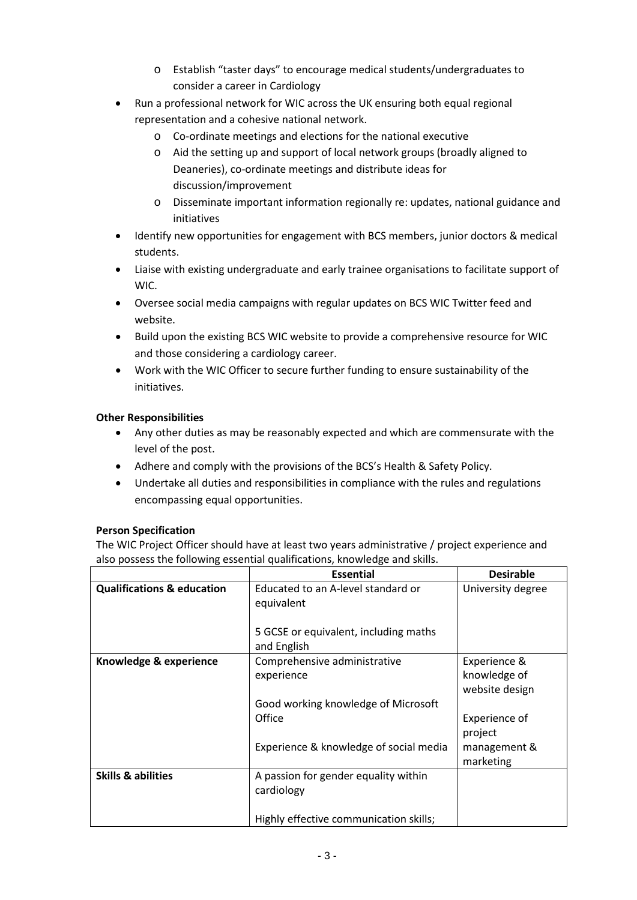- o Establish "taster days" to encourage medical students/undergraduates to consider a career in Cardiology
- Run a professional network for WIC across the UK ensuring both equal regional representation and a cohesive national network.
	- o Co-ordinate meetings and elections for the national executive
	- o Aid the setting up and support of local network groups (broadly aligned to Deaneries), co-ordinate meetings and distribute ideas for discussion/improvement
	- o Disseminate important information regionally re: updates, national guidance and initiatives
- Identify new opportunities for engagement with BCS members, junior doctors & medical students.
- Liaise with existing undergraduate and early trainee organisations to facilitate support of WIC.
- Oversee social media campaigns with regular updates on BCS WIC Twitter feed and website.
- Build upon the existing BCS WIC website to provide a comprehensive resource for WIC and those considering a cardiology career.
- Work with the WIC Officer to secure further funding to ensure sustainability of the initiatives.

# **Other Responsibilities**

- Any other duties as may be reasonably expected and which are commensurate with the level of the post.
- Adhere and comply with the provisions of the BCS's Health & Safety Policy.
- Undertake all duties and responsibilities in compliance with the rules and regulations encompassing equal opportunities.

## **Person Specification**

The WIC Project Officer should have at least two years administrative / project experience and also possess the following essential qualifications, knowledge and skills.

|                                       | <b>Essential</b>                                                                             | <b>Desirable</b>                               |
|---------------------------------------|----------------------------------------------------------------------------------------------|------------------------------------------------|
| <b>Qualifications &amp; education</b> | Educated to an A-level standard or<br>equivalent                                             | University degree                              |
|                                       | 5 GCSE or equivalent, including maths<br>and English                                         |                                                |
| Knowledge & experience                | Comprehensive administrative<br>experience                                                   | Experience &<br>knowledge of<br>website design |
|                                       | Good working knowledge of Microsoft<br>Office                                                | <b>Experience of</b><br>project                |
|                                       | Experience & knowledge of social media                                                       | management &<br>marketing                      |
| <b>Skills &amp; abilities</b>         | A passion for gender equality within<br>cardiology<br>Highly effective communication skills; |                                                |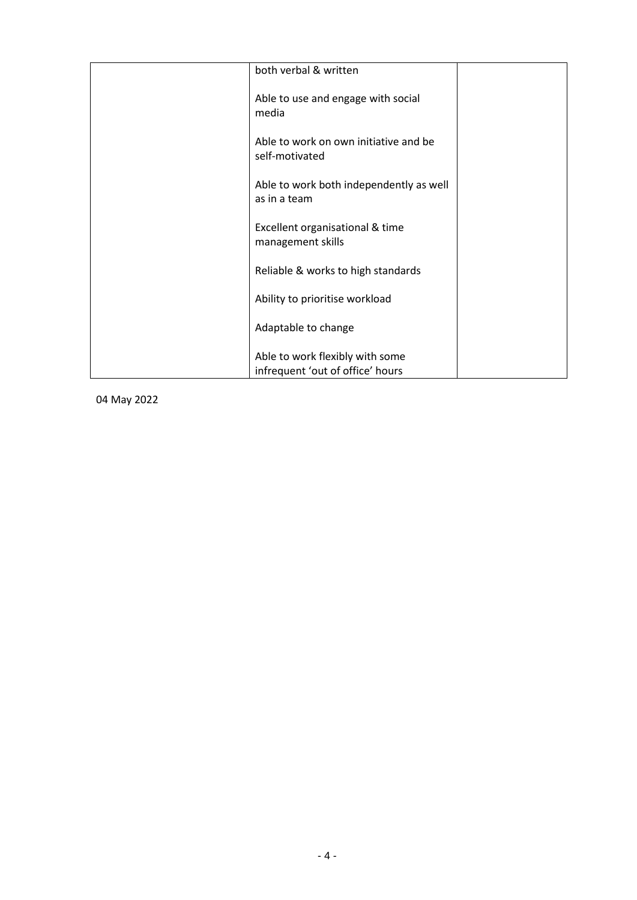| both verbal & written                                               |  |
|---------------------------------------------------------------------|--|
| Able to use and engage with social<br>media                         |  |
| Able to work on own initiative and be<br>self-motivated             |  |
| Able to work both independently as well<br>as in a team             |  |
| Excellent organisational & time<br>management skills                |  |
| Reliable & works to high standards                                  |  |
| Ability to prioritise workload                                      |  |
| Adaptable to change                                                 |  |
| Able to work flexibly with some<br>infrequent 'out of office' hours |  |
|                                                                     |  |

04 May 2022